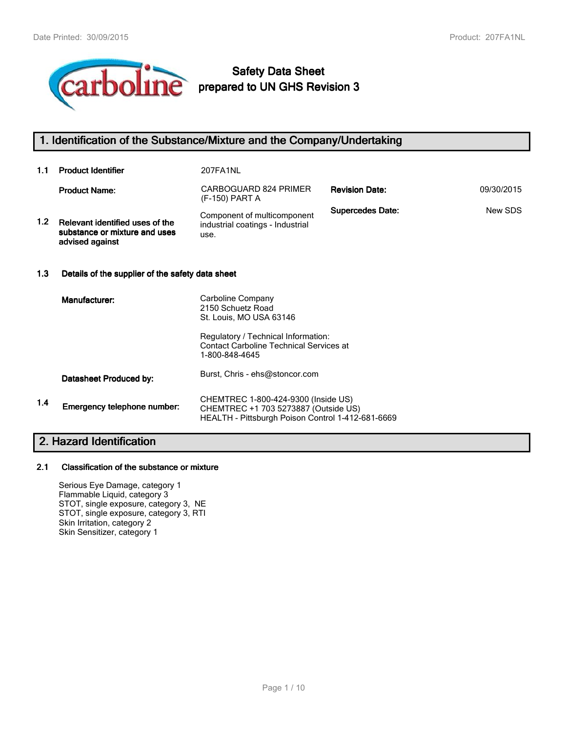

# **Safety Data Sheet prepared to UN GHS Revision 3**

## **1. Identification of the Substance/Mixture and the Company/Undertaking**

| 1.1              | <b>Product Identifier</b>                                                           | 207FA1NL                                                                                                                                                                     |                         |            |  |
|------------------|-------------------------------------------------------------------------------------|------------------------------------------------------------------------------------------------------------------------------------------------------------------------------|-------------------------|------------|--|
|                  | <b>Product Name:</b>                                                                | CARBOGUARD 824 PRIMER<br>(F-150) PART A                                                                                                                                      | <b>Revision Date:</b>   | 09/30/2015 |  |
| 1.2 <sub>1</sub> | Relevant identified uses of the<br>substance or mixture and uses<br>advised against | Component of multicomponent<br>industrial coatings - Industrial<br>use.                                                                                                      | <b>Supercedes Date:</b> | New SDS    |  |
| 1.3              | Details of the supplier of the safety data sheet                                    |                                                                                                                                                                              |                         |            |  |
|                  | Manufacturer:                                                                       | Carboline Company<br>2150 Schuetz Road<br>St. Louis, MO USA 63146<br>Regulatory / Technical Information:<br><b>Contact Carboline Technical Services at</b><br>1-800-848-4645 |                         |            |  |
|                  | Datasheet Produced by:                                                              | Burst, Chris - ehs@stoncor.com                                                                                                                                               |                         |            |  |
| 1.4              | Emergency telephone number:                                                         | CHEMTREC 1-800-424-9300 (Inside US)<br>CHEMTREC +1 703 5273887 (Outside US)<br>HEALTH - Pittsburgh Poison Control 1-412-681-6669                                             |                         |            |  |
| <b>AII</b><br>.  |                                                                                     |                                                                                                                                                                              |                         |            |  |

# **2. Hazard Identification**

## **2.1 Classification of the substance or mixture**

Serious Eye Damage, category 1 Flammable Liquid, category 3 STOT, single exposure, category 3, NE STOT, single exposure, category 3, RTI Skin Irritation, category 2 Skin Sensitizer, category 1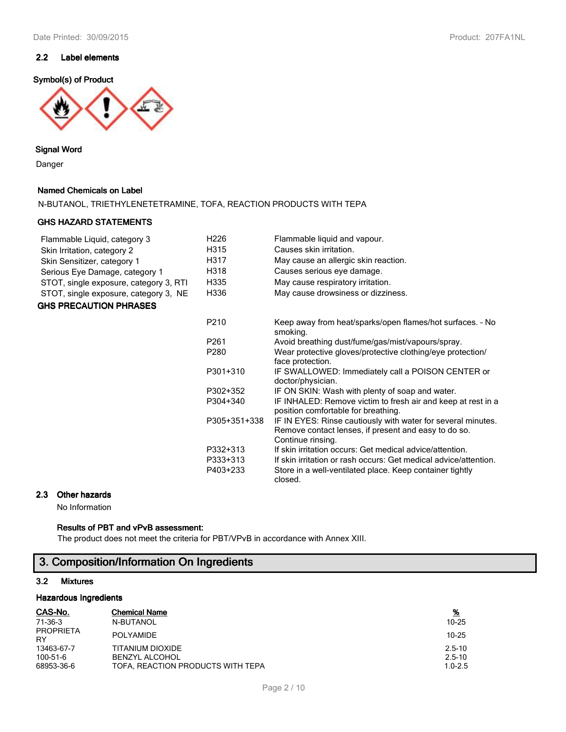## **2.2 Label elements**

## **Symbol(s) of Product**



#### **Signal Word**

Danger

## **Named Chemicals on Label**

N-BUTANOL, TRIETHYLENETETRAMINE, TOFA, REACTION PRODUCTS WITH TEPA

#### **GHS HAZARD STATEMENTS**

| Flammable Liquid, category 3           | H <sub>226</sub> | Flammable liquid and vapour.                                                                                                              |
|----------------------------------------|------------------|-------------------------------------------------------------------------------------------------------------------------------------------|
| Skin Irritation, category 2            | H315             | Causes skin irritation.                                                                                                                   |
| Skin Sensitizer, category 1            | H317             | May cause an allergic skin reaction.                                                                                                      |
| Serious Eye Damage, category 1         | H318             | Causes serious eye damage.                                                                                                                |
| STOT, single exposure, category 3, RTI | H335             | May cause respiratory irritation.                                                                                                         |
| STOT, single exposure, category 3, NE  | H336             | May cause drowsiness or dizziness.                                                                                                        |
| <b>GHS PRECAUTION PHRASES</b>          |                  |                                                                                                                                           |
|                                        |                  |                                                                                                                                           |
|                                        | P210             | Keep away from heat/sparks/open flames/hot surfaces. - No<br>smoking.                                                                     |
|                                        | P <sub>261</sub> | Avoid breathing dust/fume/gas/mist/vapours/spray.                                                                                         |
|                                        | P280             | Wear protective gloves/protective clothing/eye protection/<br>face protection.                                                            |
|                                        | P301+310         | IF SWALLOWED: Immediately call a POISON CENTER or<br>doctor/physician.                                                                    |
|                                        | P302+352         | IF ON SKIN: Wash with plenty of soap and water.                                                                                           |
|                                        | P304+340         | IF INHALED: Remove victim to fresh air and keep at rest in a<br>position comfortable for breathing.                                       |
|                                        | P305+351+338     | IF IN EYES: Rinse cautiously with water for several minutes.<br>Remove contact lenses, if present and easy to do so.<br>Continue rinsing. |
|                                        | P332+313         | If skin irritation occurs: Get medical advice/attention.                                                                                  |
|                                        | P333+313         | If skin irritation or rash occurs: Get medical advice/attention.                                                                          |
|                                        | P403+233         | Store in a well-ventilated place. Keep container tightly<br>closed.                                                                       |

## **2.3 Other hazards**

No Information

## **Results of PBT and vPvB assessment:**

The product does not meet the criteria for PBT/VPvB in accordance with Annex XIII.

# **3. Composition/Information On Ingredients**

## **3.2 Mixtures**

## **Hazardous Ingredients**

| CAS-No.                       | <b>Chemical Name</b>              | <u>%</u>    |
|-------------------------------|-----------------------------------|-------------|
| 71-36-3                       | N-BUTANOL                         | $10 - 25$   |
| <b>PROPRIETA</b><br><b>RY</b> | <b>POLYAMIDE</b>                  | $10 - 25$   |
| 13463-67-7                    | TITANIUM DIOXIDE                  | $2.5 - 10$  |
| 100-51-6                      | <b>BENZYL ALCOHOL</b>             | $2.5 - 10$  |
| 68953-36-6                    | TOFA, REACTION PRODUCTS WITH TEPA | $1.0 - 2.5$ |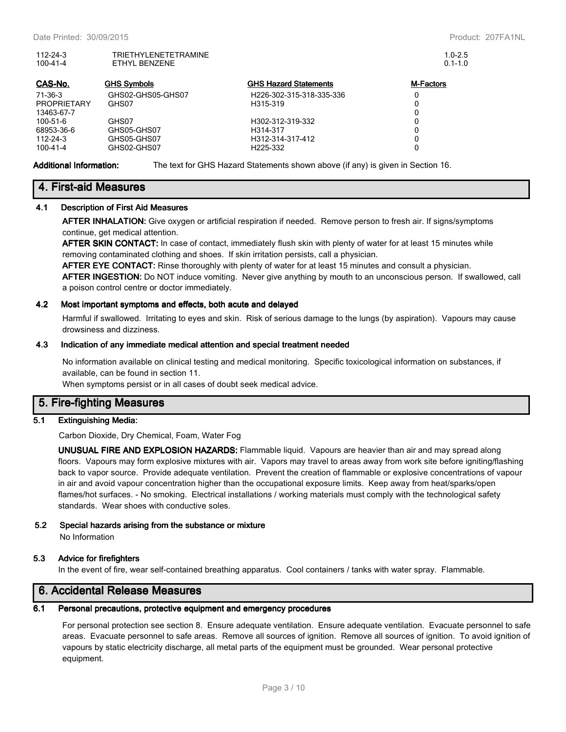| $112 - 24 - 3$<br>100-41-4 | TRIETHYLENETETRAMINE<br>ETHYL BENZENE |                              | $1.0 - 2.5$<br>$0.1 - 1.0$ |
|----------------------------|---------------------------------------|------------------------------|----------------------------|
| CAS-No.                    | <b>GHS Symbols</b>                    | <b>GHS Hazard Statements</b> | <b>M-Factors</b>           |
| $71-36-3$                  | GHS02-GHS05-GHS07                     | H226-302-315-318-335-336     | 0                          |
| <b>PROPRIETARY</b>         | GHS07                                 | H315-319                     | 0                          |
| 13463-67-7                 |                                       |                              | 0                          |
| 100-51-6                   | GHS07                                 | H302-312-319-332             | 0                          |
| 68953-36-6                 | GHS05-GHS07                           | H314-317                     | 0                          |
| $112 - 24 - 3$             | GHS05-GHS07                           | H312-314-317-412             | 0                          |
| 100-41-4                   | GHS02-GHS07                           | H225-332                     |                            |

**Additional Information:** The text for GHS Hazard Statements shown above (if any) is given in Section 16.

## **4. First-aid Measures**

#### **4.1 Description of First Aid Measures**

**AFTER INHALATION:** Give oxygen or artificial respiration if needed. Remove person to fresh air. If signs/symptoms continue, get medical attention.

**AFTER SKIN CONTACT:** In case of contact, immediately flush skin with plenty of water for at least 15 minutes while removing contaminated clothing and shoes. If skin irritation persists, call a physician.

**AFTER EYE CONTACT:** Rinse thoroughly with plenty of water for at least 15 minutes and consult a physician.

**AFTER INGESTION:** Do NOT induce vomiting. Never give anything by mouth to an unconscious person. If swallowed, call a poison control centre or doctor immediately.

#### **4.2 Most important symptoms and effects, both acute and delayed**

Harmful if swallowed. Irritating to eyes and skin. Risk of serious damage to the lungs (by aspiration). Vapours may cause drowsiness and dizziness.

#### **4.3 Indication of any immediate medical attention and special treatment needed**

No information available on clinical testing and medical monitoring. Specific toxicological information on substances, if available, can be found in section 11.

When symptoms persist or in all cases of doubt seek medical advice.

## **5. Fire-fighting Measures**

## **5.1 Extinguishing Media:**

Carbon Dioxide, Dry Chemical, Foam, Water Fog

**UNUSUAL FIRE AND EXPLOSION HAZARDS:** Flammable liquid. Vapours are heavier than air and may spread along floors. Vapours may form explosive mixtures with air. Vapors may travel to areas away from work site before igniting/flashing back to vapor source. Provide adequate ventilation. Prevent the creation of flammable or explosive concentrations of vapour in air and avoid vapour concentration higher than the occupational exposure limits. Keep away from heat/sparks/open flames/hot surfaces. - No smoking. Electrical installations / working materials must comply with the technological safety standards. Wear shoes with conductive soles.

## **5.2 Special hazards arising from the substance or mixture**

No Information

## **5.3 Advice for firefighters**

In the event of fire, wear self-contained breathing apparatus. Cool containers / tanks with water spray. Flammable.

## **6. Accidental Release Measures**

## **6.1 Personal precautions, protective equipment and emergency procedures**

For personal protection see section 8. Ensure adequate ventilation. Ensure adequate ventilation. Evacuate personnel to safe areas. Evacuate personnel to safe areas. Remove all sources of ignition. Remove all sources of ignition. To avoid ignition of vapours by static electricity discharge, all metal parts of the equipment must be grounded. Wear personal protective equipment.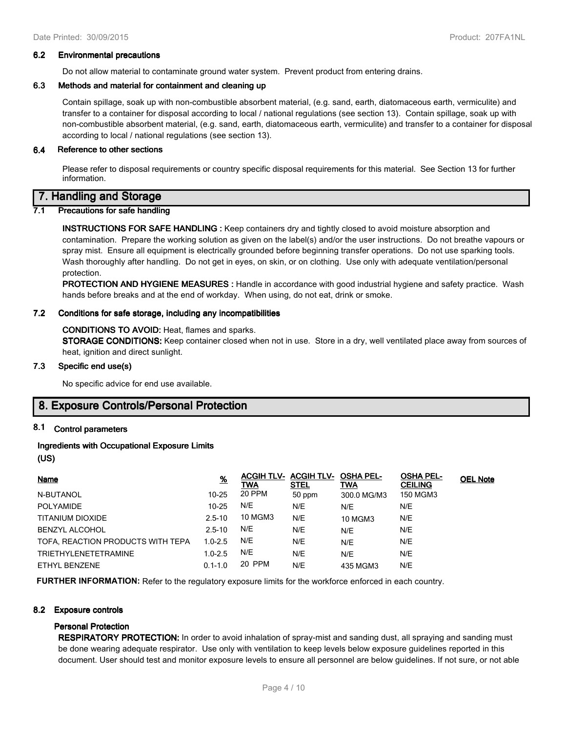#### **6.2 Environmental precautions**

Do not allow material to contaminate ground water system. Prevent product from entering drains.

## **6.3 Methods and material for containment and cleaning up**

Contain spillage, soak up with non-combustible absorbent material, (e.g. sand, earth, diatomaceous earth, vermiculite) and transfer to a container for disposal according to local / national regulations (see section 13). Contain spillage, soak up with non-combustible absorbent material, (e.g. sand, earth, diatomaceous earth, vermiculite) and transfer to a container for disposal according to local / national regulations (see section 13).

## **6.4 Reference to other sections**

Please refer to disposal requirements or country specific disposal requirements for this material. See Section 13 for further information.

## **7. Handling and Storage**

## **7.1 Precautions for safe handling**

**INSTRUCTIONS FOR SAFE HANDLING :** Keep containers dry and tightly closed to avoid moisture absorption and contamination. Prepare the working solution as given on the label(s) and/or the user instructions. Do not breathe vapours or spray mist. Ensure all equipment is electrically grounded before beginning transfer operations. Do not use sparking tools. Wash thoroughly after handling. Do not get in eyes, on skin, or on clothing. Use only with adequate ventilation/personal protection.

**PROTECTION AND HYGIENE MEASURES :** Handle in accordance with good industrial hygiene and safety practice. Wash hands before breaks and at the end of workday. When using, do not eat, drink or smoke.

## **7.2 Conditions for safe storage, including any incompatibilities**

#### **CONDITIONS TO AVOID:** Heat, flames and sparks.

**STORAGE CONDITIONS:** Keep container closed when not in use. Store in a dry, well ventilated place away from sources of heat, ignition and direct sunlight.

## **7.3 Specific end use(s)**

No specific advice for end use available.

## **8. Exposure Controls/Personal Protection**

## **8.1 Control parameters**

## **Ingredients with Occupational Exposure Limits**

**(US)**

| Name                              | $\frac{9}{6}$ | <b>ACGIH TLV- ACGIH TLV-</b><br>TWA | STEL   | <b>OSHA PEL-</b><br>TWA | <b>OSHA PEL-</b><br><b>CEILING</b> | <b>OEL Note</b> |
|-----------------------------------|---------------|-------------------------------------|--------|-------------------------|------------------------------------|-----------------|
| N-BUTANOL                         | $10 - 25$     | 20 PPM                              | 50 ppm | 300.0 MG/M3             | 150 MGM3                           |                 |
| <b>POLYAMIDE</b>                  | $10 - 25$     | N/E                                 | N/E    | N/E                     | N/E                                |                 |
| TITANIUM DIOXIDE                  | $2.5 - 10$    | 10 MGM3                             | N/E    | <b>10 MGM3</b>          | N/E                                |                 |
| <b>BENZYL ALCOHOL</b>             | $2.5 - 10$    | N/E                                 | N/E    | N/E                     | N/E                                |                 |
| TOFA, REACTION PRODUCTS WITH TEPA | $1.0 - 2.5$   | N/E                                 | N/E    | N/E                     | N/E                                |                 |
| <b>TRIETHYLENETETRAMINE</b>       | $1.0 - 2.5$   | N/E                                 | N/E    | N/E                     | N/E                                |                 |
| ETHYL BENZENE                     | $0.1 - 1.0$   | 20 PPM                              | N/E    | 435 MGM3                | N/E                                |                 |

**FURTHER INFORMATION:** Refer to the regulatory exposure limits for the workforce enforced in each country.

## **8.2 Exposure controls**

## **Personal Protection**

**RESPIRATORY PROTECTION:** In order to avoid inhalation of spray-mist and sanding dust, all spraying and sanding must be done wearing adequate respirator. Use only with ventilation to keep levels below exposure guidelines reported in this document. User should test and monitor exposure levels to ensure all personnel are below guidelines. If not sure, or not able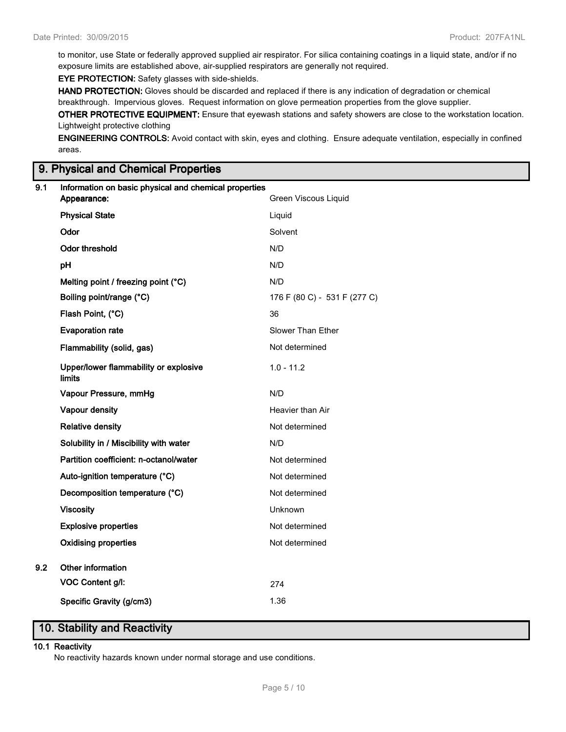to monitor, use State or federally approved supplied air respirator. For silica containing coatings in a liquid state, and/or if no exposure limits are established above, air-supplied respirators are generally not required.

**EYE PROTECTION:** Safety glasses with side-shields.

**HAND PROTECTION:** Gloves should be discarded and replaced if there is any indication of degradation or chemical breakthrough. Impervious gloves. Request information on glove permeation properties from the glove supplier.

**OTHER PROTECTIVE EQUIPMENT:** Ensure that eyewash stations and safety showers are close to the workstation location. Lightweight protective clothing

**ENGINEERING CONTROLS:** Avoid contact with skin, eyes and clothing. Ensure adequate ventilation, especially in confined areas.

## **9. Physical and Chemical Properties**

| 9.1 | Information on basic physical and chemical properties<br>Appearance: | Green Viscous Liquid         |
|-----|----------------------------------------------------------------------|------------------------------|
|     | <b>Physical State</b>                                                | Liquid                       |
|     | Odor                                                                 | Solvent                      |
|     | <b>Odor threshold</b>                                                | N/D                          |
|     | pH                                                                   | N/D                          |
|     | Melting point / freezing point (°C)                                  | N/D                          |
|     | Boiling point/range (°C)                                             | 176 F (80 C) - 531 F (277 C) |
|     | Flash Point, (°C)                                                    | 36                           |
|     | <b>Evaporation rate</b>                                              | Slower Than Ether            |
|     | Flammability (solid, gas)                                            | Not determined               |
|     | Upper/lower flammability or explosive<br>limits                      | $1.0 - 11.2$                 |
|     | Vapour Pressure, mmHg                                                | N/D                          |
|     | Vapour density                                                       | Heavier than Air             |
|     | <b>Relative density</b>                                              | Not determined               |
|     | Solubility in / Miscibility with water                               | N/D                          |
|     | Partition coefficient: n-octanol/water                               | Not determined               |
|     | Auto-ignition temperature (°C)                                       | Not determined               |
|     | Decomposition temperature (°C)                                       | Not determined               |
|     | <b>Viscosity</b>                                                     | Unknown                      |
|     | <b>Explosive properties</b>                                          | Not determined               |
|     | <b>Oxidising properties</b>                                          | Not determined               |
| 9.2 | Other information                                                    |                              |
|     | VOC Content g/l:                                                     | 274                          |
|     | Specific Gravity (g/cm3)                                             | 1.36                         |

# **10. Stability and Reactivity**

## **10.1 Reactivity**

No reactivity hazards known under normal storage and use conditions.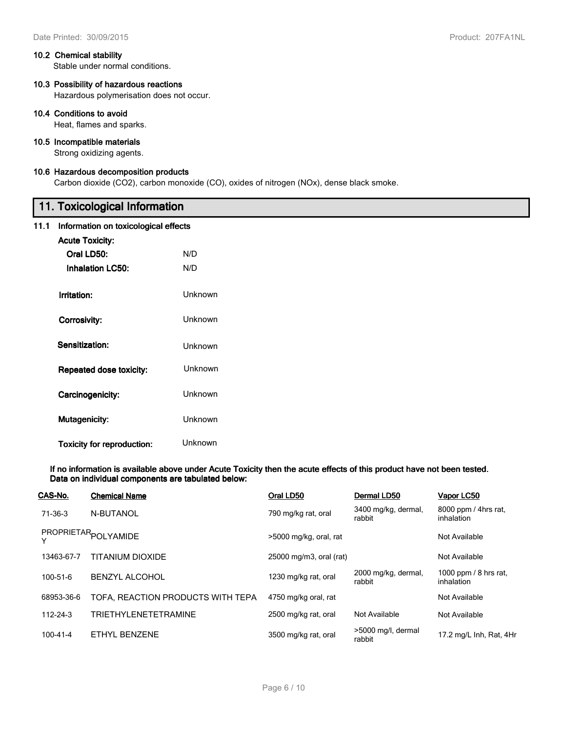#### **10.2 Chemical stability**

Stable under normal conditions.

## **10.3 Possibility of hazardous reactions**

Hazardous polymerisation does not occur.

## **10.4 Conditions to avoid**

Heat, flames and sparks.

## **10.5 Incompatible materials**

Strong oxidizing agents.

## **10.6 Hazardous decomposition products**

Carbon dioxide (CO2), carbon monoxide (CO), oxides of nitrogen (NOx), dense black smoke.

# **11. Toxicological Information**

## **11.1 Information on toxicological effects**

| <b>Acute Toxicity:</b>         |         |
|--------------------------------|---------|
| Oral LD50:                     | N/D     |
| Inhalation I C50:              | N/D     |
| Irritation:                    | Unknown |
| Corrosivity:                   | Unknown |
| Sensitization:                 | Unknown |
| <b>Repeated dose toxicity:</b> | Unknown |
| Carcinogenicity:               | Unknown |
| <b>Mutagenicity:</b>           | Unknown |
| Toxicity for reproduction:     | Unknown |

**If no information is available above under Acute Toxicity then the acute effects of this product have not been tested. Data on individual components are tabulated below:**

| CAS-No.        | <b>Chemical Name</b>              | Oral LD50               | Dermal LD50                   | Vapor LC50                            |
|----------------|-----------------------------------|-------------------------|-------------------------------|---------------------------------------|
| 71-36-3        | N-BUTANOL                         | 790 mg/kg rat, oral     | 3400 mg/kg, dermal,<br>rabbit | 8000 ppm / 4hrs rat,<br>inhalation    |
|                | PROPRIETAR <sub>POLYAMIDE</sub>   | >5000 mg/kg, oral, rat  |                               | Not Available                         |
| 13463-67-7     | TITANIUM DIOXIDE                  | 25000 mg/m3, oral (rat) |                               | Not Available                         |
| $100 - 51 - 6$ | <b>BENZYL ALCOHOL</b>             | 1230 mg/kg rat, oral    | 2000 mg/kg, dermal,<br>rabbit | 1000 ppm $/$ 8 hrs rat.<br>inhalation |
| 68953-36-6     | TOFA, REACTION PRODUCTS WITH TEPA | 4750 mg/kg oral, rat    |                               | Not Available                         |
| $112 - 24 - 3$ | <b>TRIETHYLENETETRAMINE</b>       | 2500 mg/kg rat, oral    | Not Available                 | Not Available                         |
| $100 - 41 - 4$ | ETHYL BENZENE                     | 3500 mg/kg rat, oral    | >5000 mg/l, dermal<br>rabbit  | 17.2 mg/L Inh, Rat, 4Hr               |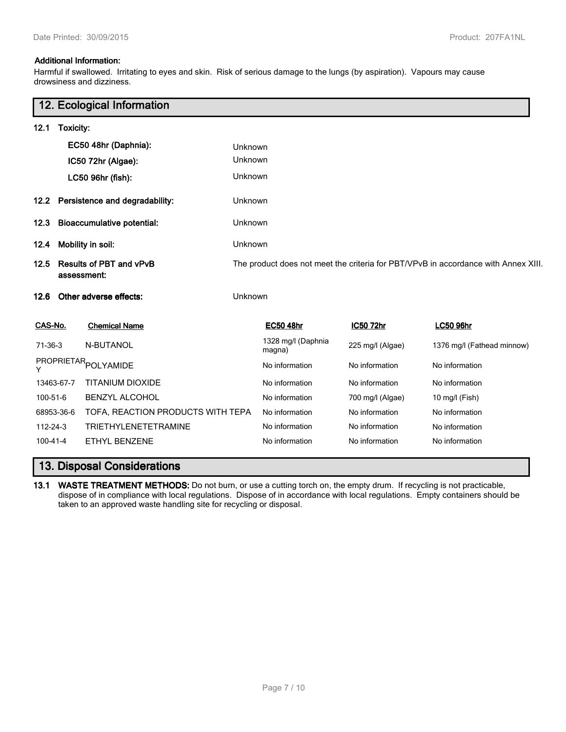## **Additional Information:**

Harmful if swallowed. Irritating to eyes and skin. Risk of serious damage to the lungs (by aspiration). Vapours may cause drowsiness and dizziness.

|                                                       |            | 12. Ecological Information                                                         |         |                              |                  |                            |
|-------------------------------------------------------|------------|------------------------------------------------------------------------------------|---------|------------------------------|------------------|----------------------------|
| 12.1                                                  | Toxicity:  |                                                                                    |         |                              |                  |                            |
|                                                       |            | EC50 48hr (Daphnia):                                                               | Unknown |                              |                  |                            |
|                                                       |            | IC50 72hr (Algae):                                                                 | Unknown |                              |                  |                            |
|                                                       |            | LC50 96hr (fish):                                                                  | Unknown |                              |                  |                            |
| 12.2                                                  |            | Persistence and degradability:                                                     | Unknown |                              |                  |                            |
| 12.3                                                  |            | <b>Bioaccumulative potential:</b>                                                  | Unknown |                              |                  |                            |
| 12.4                                                  |            | Mobility in soil:                                                                  | Unknown |                              |                  |                            |
| <b>Results of PBT and vPvB</b><br>12.5<br>assessment: |            | The product does not meet the criteria for PBT/VPvB in accordance with Annex XIII. |         |                              |                  |                            |
| 12.6                                                  |            | Other adverse effects:                                                             | Unknown |                              |                  |                            |
| CAS-No.                                               |            | <b>Chemical Name</b>                                                               |         | <b>EC50 48hr</b>             | IC50 72hr        | <b>LC50 96hr</b>           |
| 71-36-3                                               |            | N-BUTANOL                                                                          |         | 1328 mg/l (Daphnia<br>magna) | 225 mg/l (Algae) | 1376 mg/l (Fathead minnow) |
|                                                       |            | PROPRIETAR <sub>POLYAMIDE</sub>                                                    |         | No information               | No information   | No information             |
|                                                       | 13463-67-7 | <b>TITANIUM DIOXIDE</b>                                                            |         | No information               | No information   | No information             |
| 100-51-6                                              |            | <b>BENZYL ALCOHOL</b>                                                              |         | No information               | 700 mg/l (Algae) | 10 mg/l (Fish)             |
|                                                       | 68953-36-6 | TOFA, REACTION PRODUCTS WITH TEPA                                                  |         | No information               | No information   | No information             |
| 112-24-3                                              |            | <b>TRIETHYLENETETRAMINE</b>                                                        |         | No information               | No information   | No information             |
| 100-41-4                                              |            | ETHYL BENZENE                                                                      |         | No information               | No information   | No information             |

# **13. Disposal Considerations**

**13.1 WASTE TREATMENT METHODS:** Do not burn, or use a cutting torch on, the empty drum. If recycling is not practicable, dispose of in compliance with local regulations. Dispose of in accordance with local regulations. Empty containers should be taken to an approved waste handling site for recycling or disposal.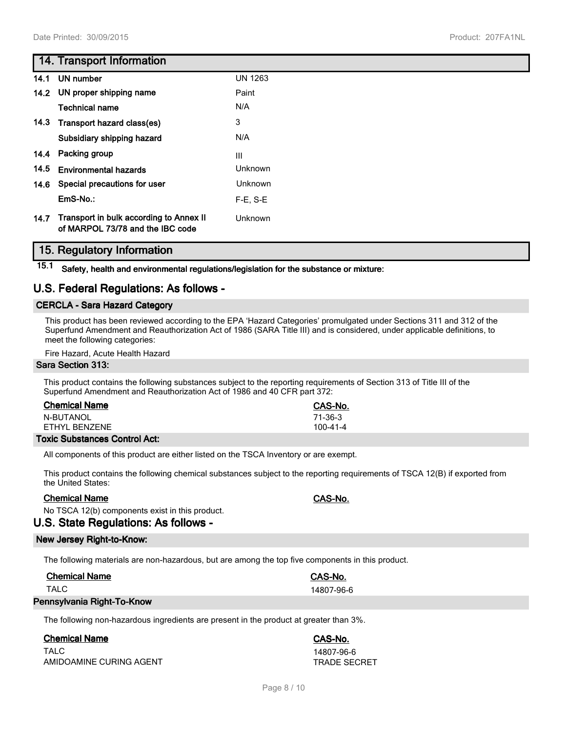## **14. Transport Information**

| 14.1 | UN number                                                                   | <b>UN 1263</b> |
|------|-----------------------------------------------------------------------------|----------------|
| 14.2 | UN proper shipping name                                                     | Paint          |
|      | <b>Technical name</b>                                                       | N/A            |
| 14.3 | Transport hazard class(es)                                                  | 3              |
|      | Subsidiary shipping hazard                                                  | N/A            |
| 14.4 | Packing group                                                               | III            |
| 14.5 | <b>Environmental hazards</b>                                                | Unknown        |
| 14.6 | Special precautions for user                                                | <b>Unknown</b> |
|      | EmS-No.:                                                                    | $F-E$ , $S-E$  |
| 14.7 | Transport in bulk according to Annex II<br>of MARPOL 73/78 and the IBC code | Unknown        |

## **15. Regulatory Information**

**15.1 Safety, health and environmental regulations/legislation for the substance or mixture:**

## **U.S. Federal Regulations: As follows -**

## **CERCLA - Sara Hazard Category**

This product has been reviewed according to the EPA 'Hazard Categories' promulgated under Sections 311 and 312 of the Superfund Amendment and Reauthorization Act of 1986 (SARA Title III) and is considered, under applicable definitions, to meet the following categories:

Fire Hazard, Acute Health Hazard

#### **Sara Section 313:**

This product contains the following substances subject to the reporting requirements of Section 313 of Title III of the Superfund Amendment and Reauthorization Act of 1986 and 40 CFR part 372:

| <b>Chemical Name</b> | CAS-No.  |
|----------------------|----------|
| N-BUTANOL            | 71-36-3  |
| FTHYI BFN7FNF        | 100-41-4 |

## **Toxic Substances Control Act:**

All components of this product are either listed on the TSCA Inventory or are exempt.

This product contains the following chemical substances subject to the reporting requirements of TSCA 12(B) if exported from the United States:

## **Chemical Name CAS-No.**

No TSCA 12(b) components exist in this product.

# **U.S. State Regulations: As follows -**

## **New Jersey Right-to-Know:**

The following materials are non-hazardous, but are among the top five components in this product.

| <b>Chemical Name</b> | <b>CAS-No.</b> |
|----------------------|----------------|
| TALC                 | 14807-96-6     |
| _ _ _ .              |                |

## **Pennsylvania Right-To-Know**

The following non-hazardous ingredients are present in the product at greater than 3%.

## **Chemical Name CAS-No.**

TALC 14807-96-6 AMIDOAMINE CURING AGENT TRADE SECRET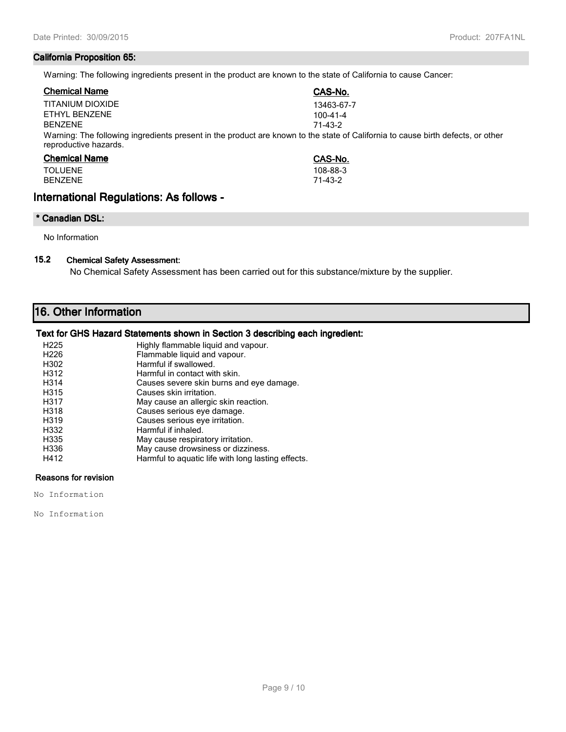## **California Proposition 65:**

Warning: The following ingredients present in the product are known to the state of California to cause Cancer:

| <b>Chemical Name</b>                                                                                                                                     | CAS-No.        |  |
|----------------------------------------------------------------------------------------------------------------------------------------------------------|----------------|--|
| TITANIUM DIOXIDE                                                                                                                                         | 13463-67-7     |  |
| ETHYL BENZENE                                                                                                                                            | $100 - 41 - 4$ |  |
| <b>BENZENE</b>                                                                                                                                           | 71-43-2        |  |
| Warning: The following ingredients present in the product are known to the state of California to cause birth defects, or other<br>reproductive hazards. |                |  |
| $\sim$ $\sim$ $\sim$ $\sim$ $\sim$ $\sim$                                                                                                                | -----          |  |

| <b>Chemical Name</b> | CAS-No.  |
|----------------------|----------|
| <b>TOLUENE</b>       | 108-88-3 |
| <b>BENZENE</b>       | 71-43-2  |

## **International Regulations: As follows -**

## **\* Canadian DSL:**

No Information

## **15.2 Chemical Safety Assessment:**

No Chemical Safety Assessment has been carried out for this substance/mixture by the supplier.

# **16. Other Information**

## **Text for GHS Hazard Statements shown in Section 3 describing each ingredient:**

| H <sub>225</sub> | Highly flammable liquid and vapour.                |
|------------------|----------------------------------------------------|
| H <sub>226</sub> | Flammable liquid and vapour.                       |
| H302             | Harmful if swallowed.                              |
| H312             | Harmful in contact with skin.                      |
| H314             | Causes severe skin burns and eye damage.           |
| H315             | Causes skin irritation.                            |
| H317             | May cause an allergic skin reaction.               |
| H318             | Causes serious eye damage.                         |
| H319             | Causes serious eye irritation.                     |
| H332             | Harmful if inhaled.                                |
| H335             | May cause respiratory irritation.                  |
| H336             | May cause drowsiness or dizziness.                 |
| H412             | Harmful to aquatic life with long lasting effects. |

## **Reasons for revision**

No Information

No Information